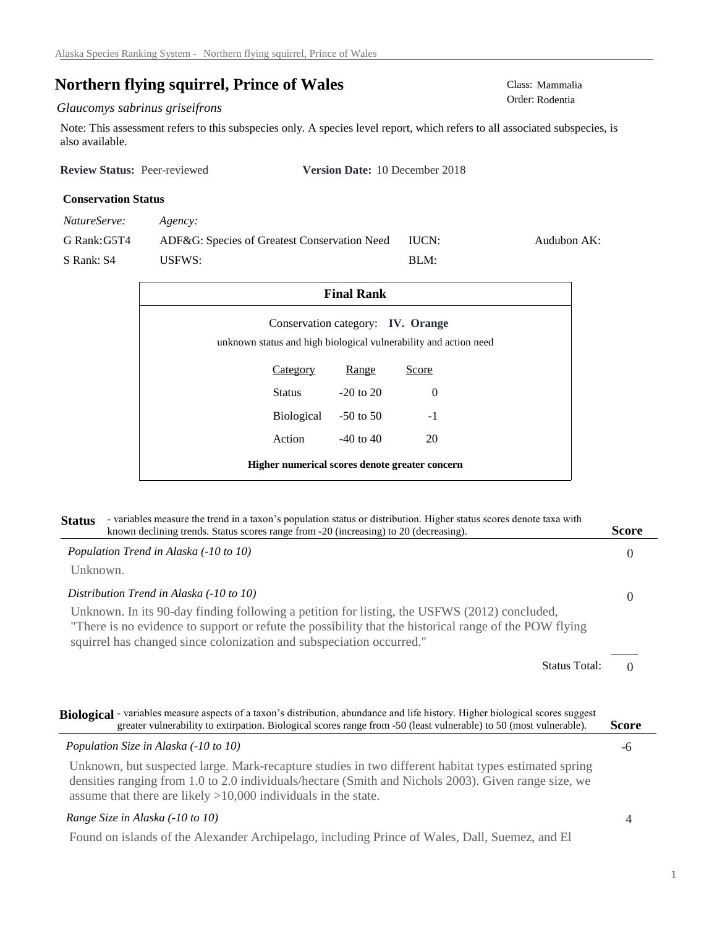# **Northern flying squirrel, Prince of Wales** Class: Mammalia Class: Mammalia

# $Glaucomys$  sabrinus griseifrons

Note: This assessment refers to this subspecies only. A species level report, which refers to all associated subspecies, is also available.

| <b>Review Status: Peer-reviewed</b> | <b>Version Date:</b> 10 December 2018 |
|-------------------------------------|---------------------------------------|
| <b>Conservation Status</b>          |                                       |

| NatureServe: | Agency:                                      |       |             |
|--------------|----------------------------------------------|-------|-------------|
| G Rank: G5T4 | ADF&G: Species of Greatest Conservation Need | IUCN: | Audubon AK: |
| S Rank: S4   | USFWS:                                       | BI.M: |             |

| <b>Final Rank</b>                                                                                            |               |       |  |
|--------------------------------------------------------------------------------------------------------------|---------------|-------|--|
| Conservation category: <b>IV. Orange</b><br>unknown status and high biological vulnerability and action need |               |       |  |
| <b>Category</b>                                                                                              | Range         | Score |  |
| Status                                                                                                       | $-20$ to $20$ | 0     |  |
| Biological -50 to 50                                                                                         |               | $-1$  |  |
| Action                                                                                                       | $-40$ to $40$ | 20    |  |
| Higher numerical scores denote greater concern                                                               |               |       |  |

| - variables measure the trend in a taxon's population status or distribution. Higher status scores denote taxa with<br><b>Status</b><br>known declining trends. Status scores range from -20 (increasing) to 20 (decreasing).                                                    | <b>Score</b> |
|----------------------------------------------------------------------------------------------------------------------------------------------------------------------------------------------------------------------------------------------------------------------------------|--------------|
| Population Trend in Alaska (-10 to 10)                                                                                                                                                                                                                                           | $\Omega$     |
| Unknown.                                                                                                                                                                                                                                                                         |              |
| Distribution Trend in Alaska (-10 to 10)                                                                                                                                                                                                                                         | $\Omega$     |
| Unknown. In its 90-day finding following a petition for listing, the USFWS (2012) concluded,<br>"There is no evidence to support or refute the possibility that the historical range of the POW flying<br>squirrel has changed since colonization and subspeciation occurred."   |              |
| <b>Status Total:</b>                                                                                                                                                                                                                                                             |              |
| Biological - variables measure aspects of a taxon's distribution, abundance and life history. Higher biological scores suggest<br>greater vulnerability to extirpation. Biological scores range from -50 (least vulnerable) to 50 (most vulnerable).                             | <b>Score</b> |
| Population Size in Alaska (-10 to 10)                                                                                                                                                                                                                                            | -6           |
| Unknown, but suspected large. Mark-recapture studies in two different habitat types estimated spring<br>densities ranging from 1.0 to 2.0 individuals/hectare (Smith and Nichols 2003). Given range size, we<br>assume that there are likely $>10,000$ individuals in the state. |              |
| Range Size in Alaska (-10 to 10)                                                                                                                                                                                                                                                 |              |

Found on islands of the Alexander Archipelago, including Prince of Wales, Dall, Suemez, and El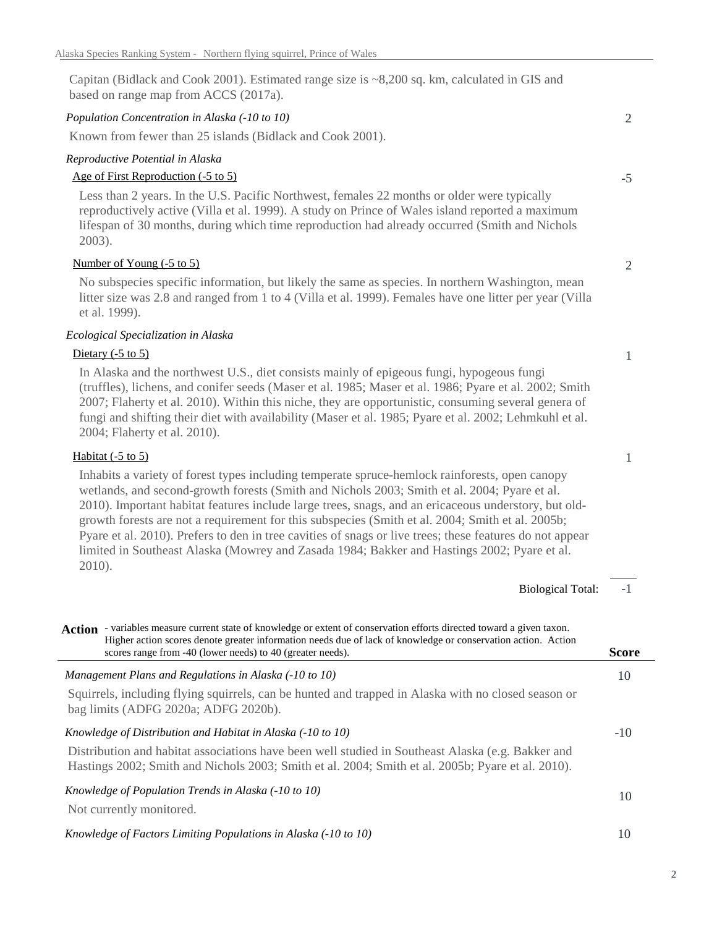Capitan (Bidlack and Cook 2001). Estimated range size is ~8,200 sq. km, calculated in GIS and based on range map from ACCS (2017a).

# *Population Concentration in Alaska (-10 to 10)*

Known from fewer than 25 islands (Bidlack and Cook 2001).

## *Reproductive Potential in Alaska*

# Age of First Reproduction (-5 to 5)

Less than 2 years. In the U.S. Pacific Northwest, females 22 months or older were typically reproductively active (Villa et al. 1999). A study on Prince of Wales island reported a maximum lifespan of 30 months, during which time reproduction had already occurred (Smith and Nichols 2003).

# Number of Young (-5 to 5)

No subspecies specific information, but likely the same as species. In northern Washington, mean litter size was 2.8 and ranged from 1 to 4 (Villa et al. 1999). Females have one litter per year (Villa et al. 1999).

# *Ecological Specialization in Alaska*

#### Dietary  $(-5 \text{ to } 5)$

In Alaska and the northwest U.S., diet consists mainly of epigeous fungi, hypogeous fungi (truffles), lichens, and conifer seeds (Maser et al. 1985; Maser et al. 1986; Pyare et al. 2002; Smith 2007; Flaherty et al. 2010). Within this niche, they are opportunistic, consuming several genera of fungi and shifting their diet with availability (Maser et al. 1985; Pyare et al. 2002; Lehmkuhl et al. 2004; Flaherty et al. 2010).

# Habitat (-5 to 5)

Inhabits a variety of forest types including temperate spruce-hemlock rainforests, open canopy wetlands, and second-growth forests (Smith and Nichols 2003; Smith et al. 2004; Pyare et al. 2010). Important habitat features include large trees, snags, and an ericaceous understory, but oldgrowth forests are not a requirement for this subspecies (Smith et al. 2004; Smith et al. 2005b; Pyare et al. 2010). Prefers to den in tree cavities of snags or live trees; these features do not appear limited in Southeast Alaska (Mowrey and Zasada 1984; Bakker and Hastings 2002; Pyare et al. 2010).

-1 Biological Total: -10 10 10 *Knowledge of Population Trends in Alaska (-10 to 10)* Not currently monitored. *Knowledge of Distribution and Habitat in Alaska (-10 to 10)* Distribution and habitat associations have been well studied in Southeast Alaska (e.g. Bakker and Hastings 2002; Smith and Nichols 2003; Smith et al. 2004; Smith et al. 2005b; Pyare et al. 2010). *Management Plans and Regulations in Alaska (-10 to 10)* Squirrels, including flying squirrels, can be hunted and trapped in Alaska with no closed season or bag limits (ADFG 2020a; ADFG 2020b). Action - variables measure current state of knowledge or extent of conservation efforts directed toward a given taxon. **Score** Higher action scores denote greater information needs due of lack of knowledge or conservation action. Action scores range from -40 (lower needs) to 40 (greater needs).

### *Knowledge of Factors Limiting Populations in Alaska (-10 to 10)*

10

-5

2

2

1

1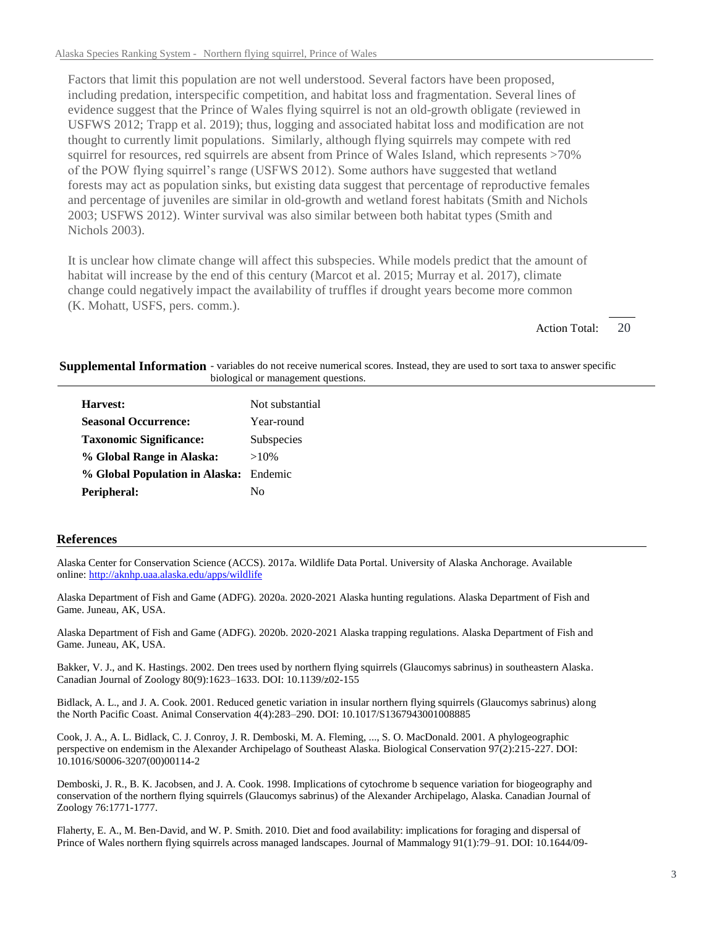Factors that limit this population are not well understood. Several factors have been proposed, including predation, interspecific competition, and habitat loss and fragmentation. Several lines of evidence suggest that the Prince of Wales flying squirrel is not an old-growth obligate (reviewed in USFWS 2012; Trapp et al. 2019); thus, logging and associated habitat loss and modification are not thought to currently limit populations. Similarly, although flying squirrels may compete with red squirrel for resources, red squirrels are absent from Prince of Wales Island, which represents >70% of the POW flying squirrel's range (USFWS 2012). Some authors have suggested that wetland forests may act as population sinks, but existing data suggest that percentage of reproductive females and percentage of juveniles are similar in old-growth and wetland forest habitats (Smith and Nichols 2003; USFWS 2012). Winter survival was also similar between both habitat types (Smith and Nichols 2003).

It is unclear how climate change will affect this subspecies. While models predict that the amount of habitat will increase by the end of this century (Marcot et al. 2015; Murray et al. 2017), climate change could negatively impact the availability of truffles if drought years become more common (K. Mohatt, USFS, pers. comm.).

> 20 Action Total:

Supplemental Information - variables do not receive numerical scores. Instead, they are used to sort taxa to answer specific biological or management questions.

| Harvest:                               | Not substantial |
|----------------------------------------|-----------------|
| <b>Seasonal Occurrence:</b>            | Year-round      |
| <b>Taxonomic Significance:</b>         | Subspecies      |
| % Global Range in Alaska:              | $>10\%$         |
| % Global Population in Alaska: Endemic |                 |
| Peripheral:                            | Nο              |

#### **References**

Alaska Center for Conservation Science (ACCS). 2017a. Wildlife Data Portal. University of Alaska Anchorage. Available online: http://aknhp.uaa.alaska.edu/apps/wildlife

Alaska Department of Fish and Game (ADFG). 2020a. 2020-2021 Alaska hunting regulations. Alaska Department of Fish and Game. Juneau, AK, USA.

Alaska Department of Fish and Game (ADFG). 2020b. 2020-2021 Alaska trapping regulations. Alaska Department of Fish and Game. Juneau, AK, USA.

Bakker, V. J., and K. Hastings. 2002. Den trees used by northern flying squirrels (Glaucomys sabrinus) in southeastern Alaska. Canadian Journal of Zoology 80(9):1623–1633. DOI: 10.1139/z02-155

Bidlack, A. L., and J. A. Cook. 2001. Reduced genetic variation in insular northern flying squirrels (Glaucomys sabrinus) along the North Pacific Coast. Animal Conservation 4(4):283–290. DOI: 10.1017/S1367943001008885

Cook, J. A., A. L. Bidlack, C. J. Conroy, J. R. Demboski, M. A. Fleming, ..., S. O. MacDonald. 2001. A phylogeographic perspective on endemism in the Alexander Archipelago of Southeast Alaska. Biological Conservation 97(2):215-227. DOI: 10.1016/S0006-3207(00)00114-2

Demboski, J. R., B. K. Jacobsen, and J. A. Cook. 1998. Implications of cytochrome b sequence variation for biogeography and conservation of the northern flying squirrels (Glaucomys sabrinus) of the Alexander Archipelago, Alaska. Canadian Journal of Zoology 76:1771-1777.

Flaherty, E. A., M. Ben-David, and W. P. Smith. 2010. Diet and food availability: implications for foraging and dispersal of Prince of Wales northern flying squirrels across managed landscapes. Journal of Mammalogy 91(1):79–91. DOI: 10.1644/09-